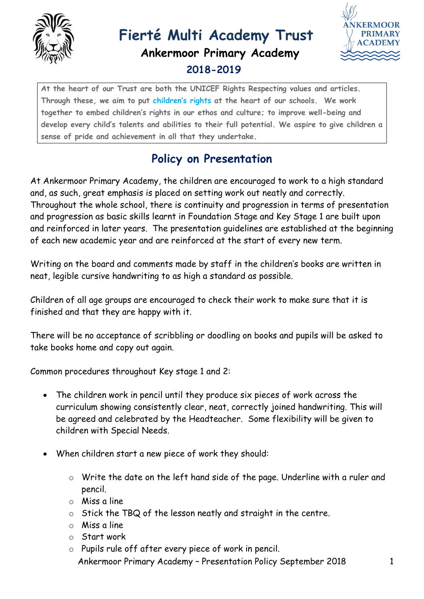

## **Fierté Multi Academy Trust Ankermoor Primary Academy 2018-2019**



**At the heart of our Trust are both the UNICEF Rights Respecting values and articles. Through these, we aim to put [children's rights](http://www.unicef.org.uk/rights-respecting-schools/about-the-award/child-rights-in-schools/) at the heart of our schools. We work together to embed children's rights in our ethos and culture; to improve well-being and develop every child's talents and abilities to their full potential. We aspire to give children a sense of pride and achievement in all that they undertake.**

## **Policy on Presentation**

At Ankermoor Primary Academy, the children are encouraged to work to a high standard and, as such, great emphasis is placed on setting work out neatly and correctly. Throughout the whole school, there is continuity and progression in terms of presentation and progression as basic skills learnt in Foundation Stage and Key Stage 1 are built upon and reinforced in later years. The presentation guidelines are established at the beginning of each new academic year and are reinforced at the start of every new term.

Writing on the board and comments made by staff in the children's books are written in neat, legible cursive handwriting to as high a standard as possible.

Children of all age groups are encouraged to check their work to make sure that it is finished and that they are happy with it.

There will be no acceptance of scribbling or doodling on books and pupils will be asked to take books home and copy out again.

Common procedures throughout Key stage 1 and 2:

- The children work in pencil until they produce six pieces of work across the curriculum showing consistently clear, neat, correctly joined handwriting. This will be agreed and celebrated by the Headteacher. Some flexibility will be given to children with Special Needs.
- When children start a new piece of work they should:
	- o Write the date on the left hand side of the page. Underline with a ruler and pencil.
	- o Miss a line
	- o Stick the TBQ of the lesson neatly and straight in the centre.
	- o Miss a line
	- o Start work
	- Ankermoor Primary Academy Presentation Policy September 2018 1 o Pupils rule off after every piece of work in pencil.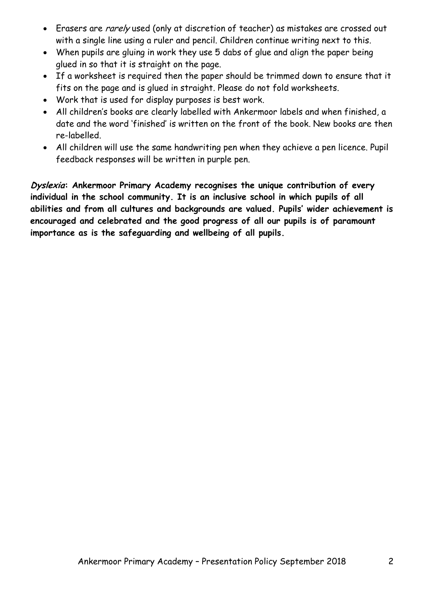- Erasers are *rarely* used (only at discretion of teacher) as mistakes are crossed out with a single line using a ruler and pencil. Children continue writing next to this.
- When pupils are gluing in work they use 5 dabs of glue and align the paper being glued in so that it is straight on the page.
- If a worksheet is required then the paper should be trimmed down to ensure that it fits on the page and is glued in straight. Please do not fold worksheets.
- Work that is used for display purposes is best work.
- All children's books are clearly labelled with Ankermoor labels and when finished, a date and the word 'finished' is written on the front of the book. New books are then re-labelled.
- All children will use the same handwriting pen when they achieve a pen licence. Pupil feedback responses will be written in purple pen.

**Dyslexia: Ankermoor Primary Academy recognises the unique contribution of every individual in the school community. It is an inclusive school in which pupils of all abilities and from all cultures and backgrounds are valued. Pupils' wider achievement is encouraged and celebrated and the good progress of all our pupils is of paramount importance as is the safeguarding and wellbeing of all pupils.**